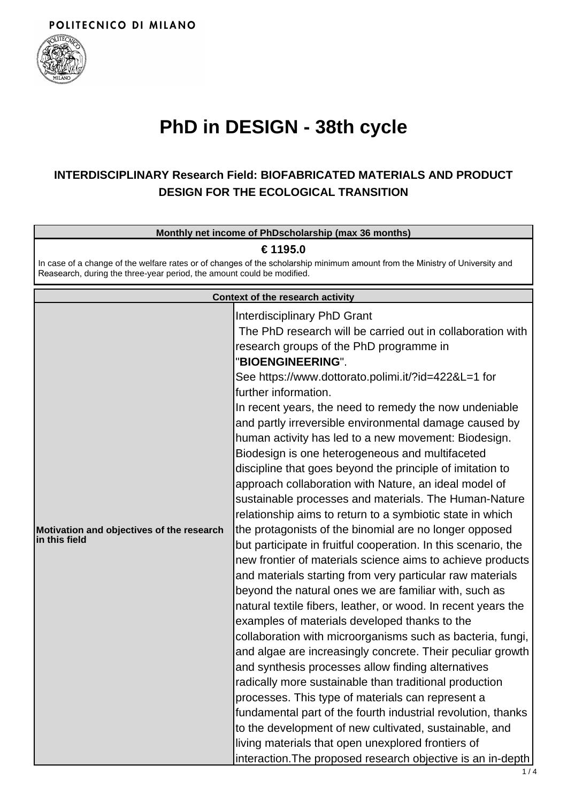

## **PhD in DESIGN - 38th cycle**

## **INTERDISCIPLINARY Research Field: BIOFABRICATED MATERIALS AND PRODUCT DESIGN FOR THE ECOLOGICAL TRANSITION**

| Monthly net income of PhDscholarship (max 36 months)                                                                                                                                                               |                                                                                                                                                                                                                                                                                                                                                                                                                                                                                                                                                                                                                                                                                                                                                                                                                                                                                                                                                                                                                                                                                                                                                                                                                                                                                                                                                                                                                                                                                                                                                                                                                                                                                                              |
|--------------------------------------------------------------------------------------------------------------------------------------------------------------------------------------------------------------------|--------------------------------------------------------------------------------------------------------------------------------------------------------------------------------------------------------------------------------------------------------------------------------------------------------------------------------------------------------------------------------------------------------------------------------------------------------------------------------------------------------------------------------------------------------------------------------------------------------------------------------------------------------------------------------------------------------------------------------------------------------------------------------------------------------------------------------------------------------------------------------------------------------------------------------------------------------------------------------------------------------------------------------------------------------------------------------------------------------------------------------------------------------------------------------------------------------------------------------------------------------------------------------------------------------------------------------------------------------------------------------------------------------------------------------------------------------------------------------------------------------------------------------------------------------------------------------------------------------------------------------------------------------------------------------------------------------------|
| € 1195.0<br>In case of a change of the welfare rates or of changes of the scholarship minimum amount from the Ministry of University and<br>Reasearch, during the three-year period, the amount could be modified. |                                                                                                                                                                                                                                                                                                                                                                                                                                                                                                                                                                                                                                                                                                                                                                                                                                                                                                                                                                                                                                                                                                                                                                                                                                                                                                                                                                                                                                                                                                                                                                                                                                                                                                              |
|                                                                                                                                                                                                                    | Context of the research activity                                                                                                                                                                                                                                                                                                                                                                                                                                                                                                                                                                                                                                                                                                                                                                                                                                                                                                                                                                                                                                                                                                                                                                                                                                                                                                                                                                                                                                                                                                                                                                                                                                                                             |
| Motivation and objectives of the research<br>in this field                                                                                                                                                         | <b>Interdisciplinary PhD Grant</b><br>The PhD research will be carried out in collaboration with<br>research groups of the PhD programme in<br>"BIOENGINEERING".<br>See https://www.dottorato.polimi.it/?id=422&L=1 for<br>further information.<br>In recent years, the need to remedy the now undeniable<br>and partly irreversible environmental damage caused by<br>human activity has led to a new movement: Biodesign.<br>Biodesign is one heterogeneous and multifaceted<br>discipline that goes beyond the principle of imitation to<br>approach collaboration with Nature, an ideal model of<br>sustainable processes and materials. The Human-Nature<br>relationship aims to return to a symbiotic state in which<br>the protagonists of the binomial are no longer opposed<br>but participate in fruitful cooperation. In this scenario, the<br>new frontier of materials science aims to achieve products<br>and materials starting from very particular raw materials<br>beyond the natural ones we are familiar with, such as<br>natural textile fibers, leather, or wood. In recent years the<br>examples of materials developed thanks to the<br>collaboration with microorganisms such as bacteria, fungi,<br>and algae are increasingly concrete. Their peculiar growth<br>and synthesis processes allow finding alternatives<br>radically more sustainable than traditional production<br>processes. This type of materials can represent a<br>fundamental part of the fourth industrial revolution, thanks<br>to the development of new cultivated, sustainable, and<br>living materials that open unexplored frontiers of<br>interaction. The proposed research objective is an in-depth |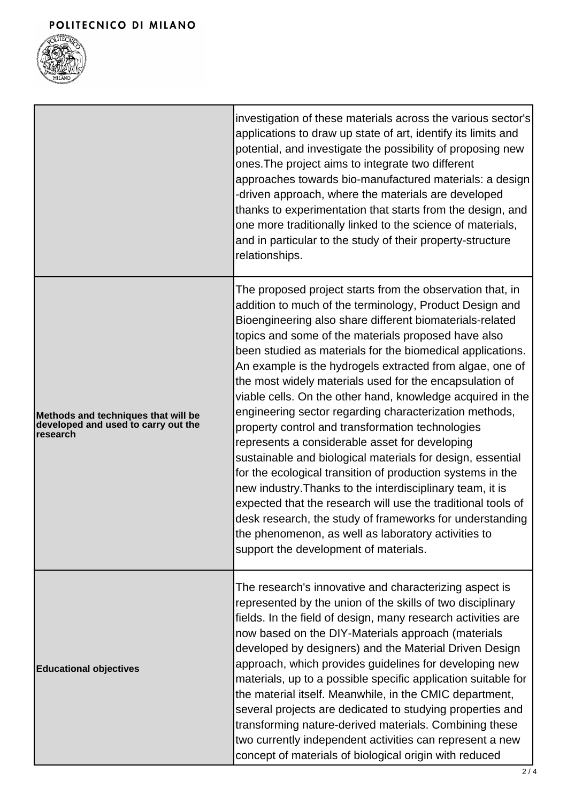

|                                                                                        | investigation of these materials across the various sector's<br>applications to draw up state of art, identify its limits and<br>potential, and investigate the possibility of proposing new<br>ones. The project aims to integrate two different<br>approaches towards bio-manufactured materials: a design<br>-driven approach, where the materials are developed<br>thanks to experimentation that starts from the design, and<br>one more traditionally linked to the science of materials,<br>and in particular to the study of their property-structure<br>relationships.                                                                                                                                                                                                                                                                                                                                                                                                                                                                                                 |
|----------------------------------------------------------------------------------------|---------------------------------------------------------------------------------------------------------------------------------------------------------------------------------------------------------------------------------------------------------------------------------------------------------------------------------------------------------------------------------------------------------------------------------------------------------------------------------------------------------------------------------------------------------------------------------------------------------------------------------------------------------------------------------------------------------------------------------------------------------------------------------------------------------------------------------------------------------------------------------------------------------------------------------------------------------------------------------------------------------------------------------------------------------------------------------|
| Methods and techniques that will be<br>developed and used to carry out the<br>research | The proposed project starts from the observation that, in<br>addition to much of the terminology, Product Design and<br>Bioengineering also share different biomaterials-related<br>topics and some of the materials proposed have also<br>been studied as materials for the biomedical applications.<br>An example is the hydrogels extracted from algae, one of<br>the most widely materials used for the encapsulation of<br>viable cells. On the other hand, knowledge acquired in the<br>engineering sector regarding characterization methods,<br>property control and transformation technologies<br>represents a considerable asset for developing<br>sustainable and biological materials for design, essential<br>for the ecological transition of production systems in the<br>new industry. Thanks to the interdisciplinary team, it is<br>expected that the research will use the traditional tools of<br>desk research, the study of frameworks for understanding<br>the phenomenon, as well as laboratory activities to<br>support the development of materials. |
| <b>Educational objectives</b>                                                          | The research's innovative and characterizing aspect is<br>represented by the union of the skills of two disciplinary<br>fields. In the field of design, many research activities are<br>now based on the DIY-Materials approach (materials<br>developed by designers) and the Material Driven Design<br>approach, which provides guidelines for developing new<br>materials, up to a possible specific application suitable for<br>the material itself. Meanwhile, in the CMIC department,<br>several projects are dedicated to studying properties and<br>transforming nature-derived materials. Combining these<br>two currently independent activities can represent a new<br>concept of materials of biological origin with reduced                                                                                                                                                                                                                                                                                                                                         |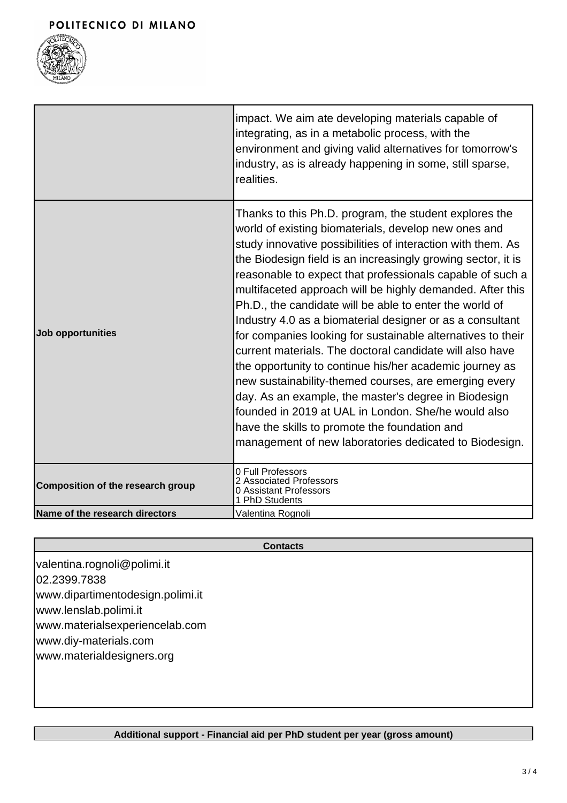

|                                   | impact. We aim ate developing materials capable of<br>integrating, as in a metabolic process, with the<br>environment and giving valid alternatives for tomorrow's<br>industry, as is already happening in some, still sparse,<br>realities.                                                                                                                                                                                                                                                                                                                                                                                                                                                                                                                                                                                                                                                                                                                             |
|-----------------------------------|--------------------------------------------------------------------------------------------------------------------------------------------------------------------------------------------------------------------------------------------------------------------------------------------------------------------------------------------------------------------------------------------------------------------------------------------------------------------------------------------------------------------------------------------------------------------------------------------------------------------------------------------------------------------------------------------------------------------------------------------------------------------------------------------------------------------------------------------------------------------------------------------------------------------------------------------------------------------------|
| Job opportunities                 | Thanks to this Ph.D. program, the student explores the<br>world of existing biomaterials, develop new ones and<br>study innovative possibilities of interaction with them. As<br>the Biodesign field is an increasingly growing sector, it is<br>reasonable to expect that professionals capable of such a<br>multifaceted approach will be highly demanded. After this<br>Ph.D., the candidate will be able to enter the world of<br>Industry 4.0 as a biomaterial designer or as a consultant<br>for companies looking for sustainable alternatives to their<br>current materials. The doctoral candidate will also have<br>the opportunity to continue his/her academic journey as<br>new sustainability-themed courses, are emerging every<br>day. As an example, the master's degree in Biodesign<br>founded in 2019 at UAL in London. She/he would also<br>have the skills to promote the foundation and<br>management of new laboratories dedicated to Biodesign. |
| Composition of the research group | 0 Full Professors<br>2 Associated Professors<br>0 Assistant Professors<br>1 PhD Students                                                                                                                                                                                                                                                                                                                                                                                                                                                                                                                                                                                                                                                                                                                                                                                                                                                                                 |
| Name of the research directors    | Valentina Rognoli                                                                                                                                                                                                                                                                                                                                                                                                                                                                                                                                                                                                                                                                                                                                                                                                                                                                                                                                                        |

## **Contacts**

valentina.rognoli@polimi.it 02.2399.7838 www.dipartimentodesign.polimi.it www.lenslab.polimi.it www.materialsexperiencelab.com www.diy-materials.com www.materialdesigners.org

**Additional support - Financial aid per PhD student per year (gross amount)**